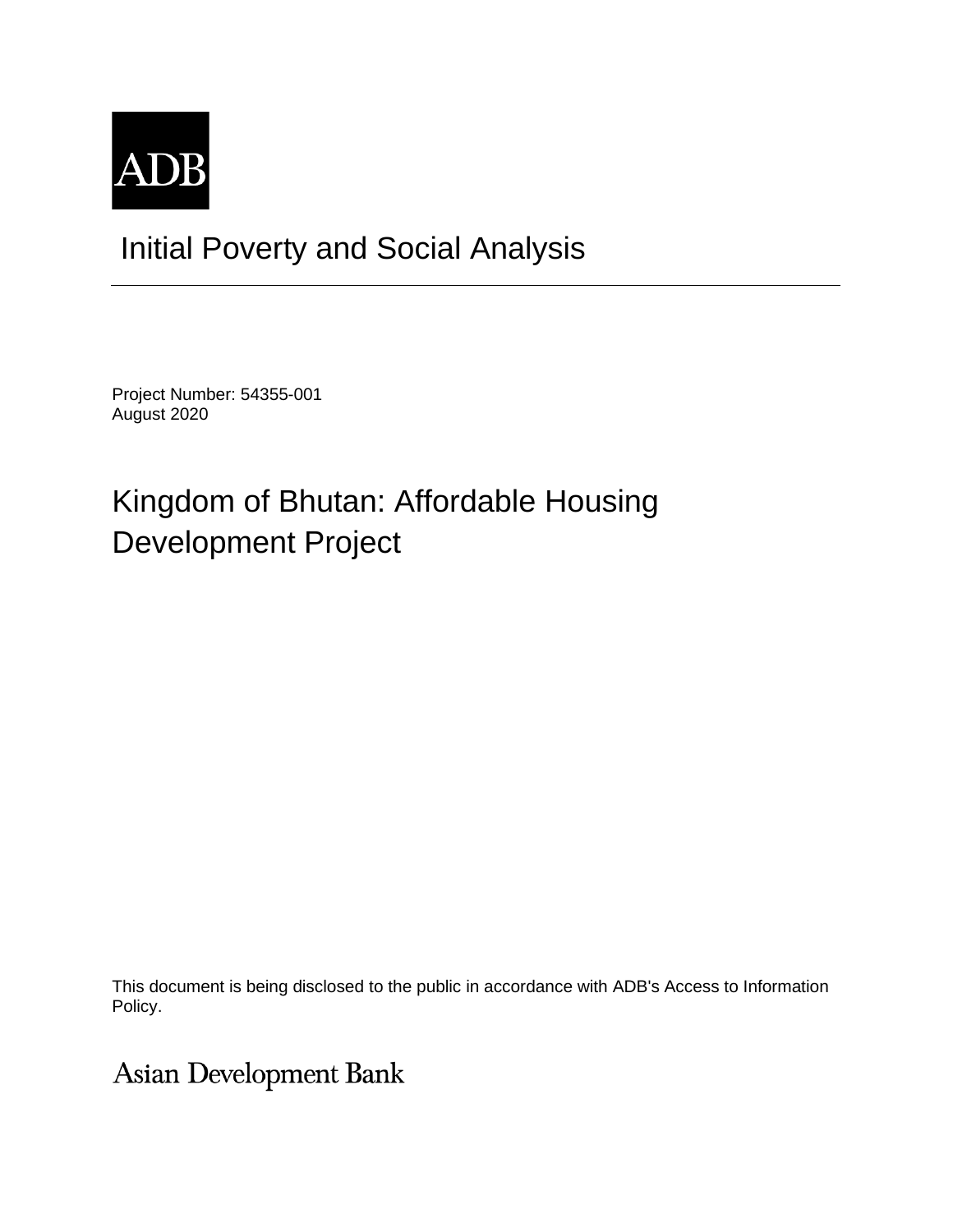

## Initial Poverty and Social Analysis

Project Number: 54355-001 August 2020

# Kingdom of Bhutan: Affordable Housing Development Project

This document is being disclosed to the public in accordance with ADB's Access to Information Policy.

**Asian Development Bank**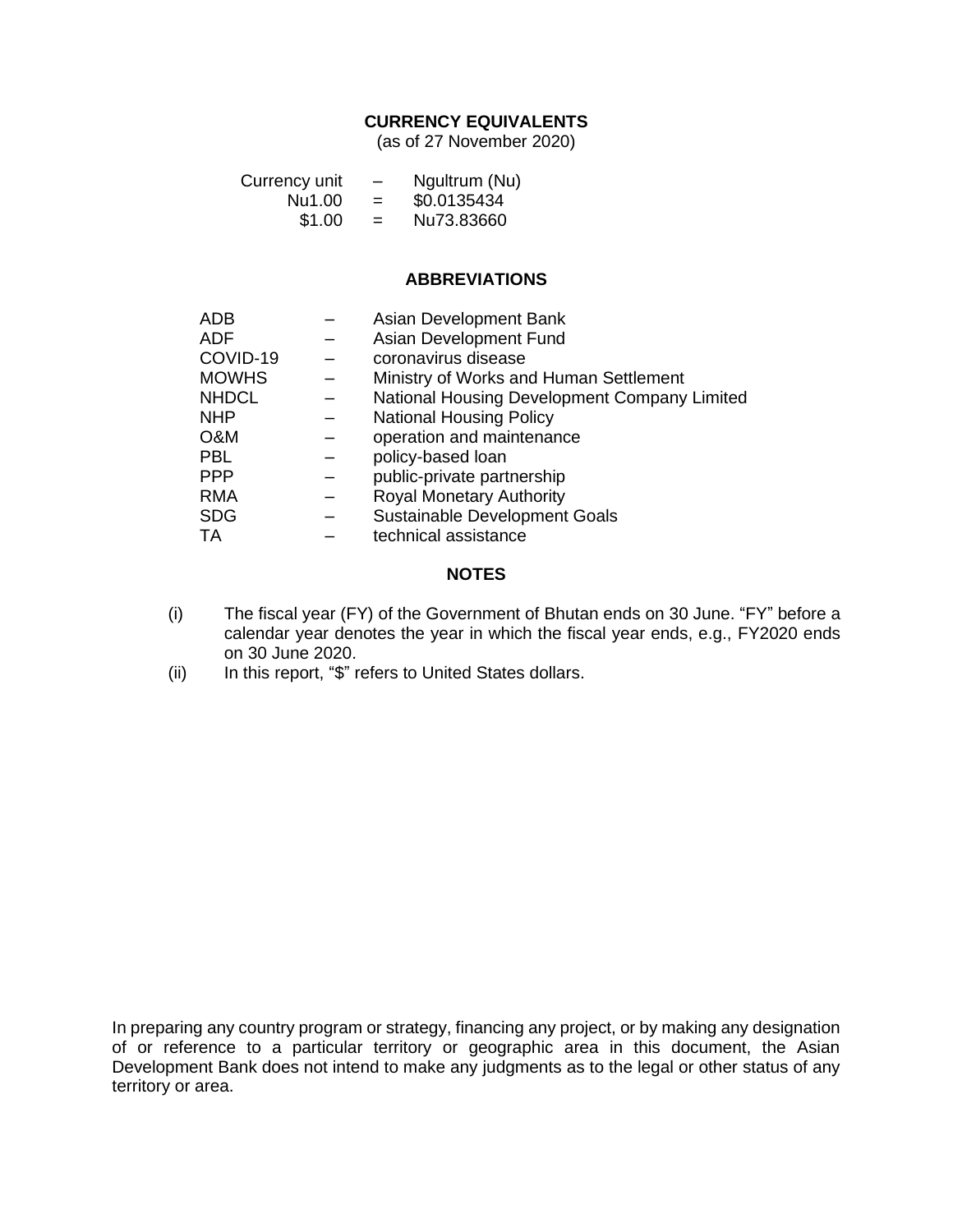## **CURRENCY EQUIVALENTS**

(as of 27 November 2020)

| Currency unit | $\overline{\phantom{m}}$ | Ngultrum (Nu) |
|---------------|--------------------------|---------------|
| Nu1.00        | $=$                      | \$0.0135434   |
| \$1.00        | $=$                      | Nu73.83660    |

## **ABBREVIATIONS**

| <b>ADB</b>   | Asian Development Bank                       |
|--------------|----------------------------------------------|
| <b>ADF</b>   | Asian Development Fund                       |
| COVID-19     | coronavirus disease                          |
| <b>MOWHS</b> | Ministry of Works and Human Settlement       |
| <b>NHDCL</b> | National Housing Development Company Limited |
| <b>NHP</b>   | <b>National Housing Policy</b>               |
| O&M          | operation and maintenance                    |
| <b>PBL</b>   | policy-based loan                            |
| <b>PPP</b>   | public-private partnership                   |
| <b>RMA</b>   | <b>Royal Monetary Authority</b>              |
| <b>SDG</b>   | Sustainable Development Goals                |
| TA           | technical assistance                         |

## **NOTES**

- (i) The fiscal year (FY) of the Government of Bhutan ends on 30 June. "FY" before a calendar year denotes the year in which the fiscal year ends, e.g., FY2020 ends on 30 June 2020.
- (ii) In this report, "\$" refers to United States dollars.

In preparing any country program or strategy, financing any project, or by making any designation of or reference to a particular territory or geographic area in this document, the Asian Development Bank does not intend to make any judgments as to the legal or other status of any territory or area.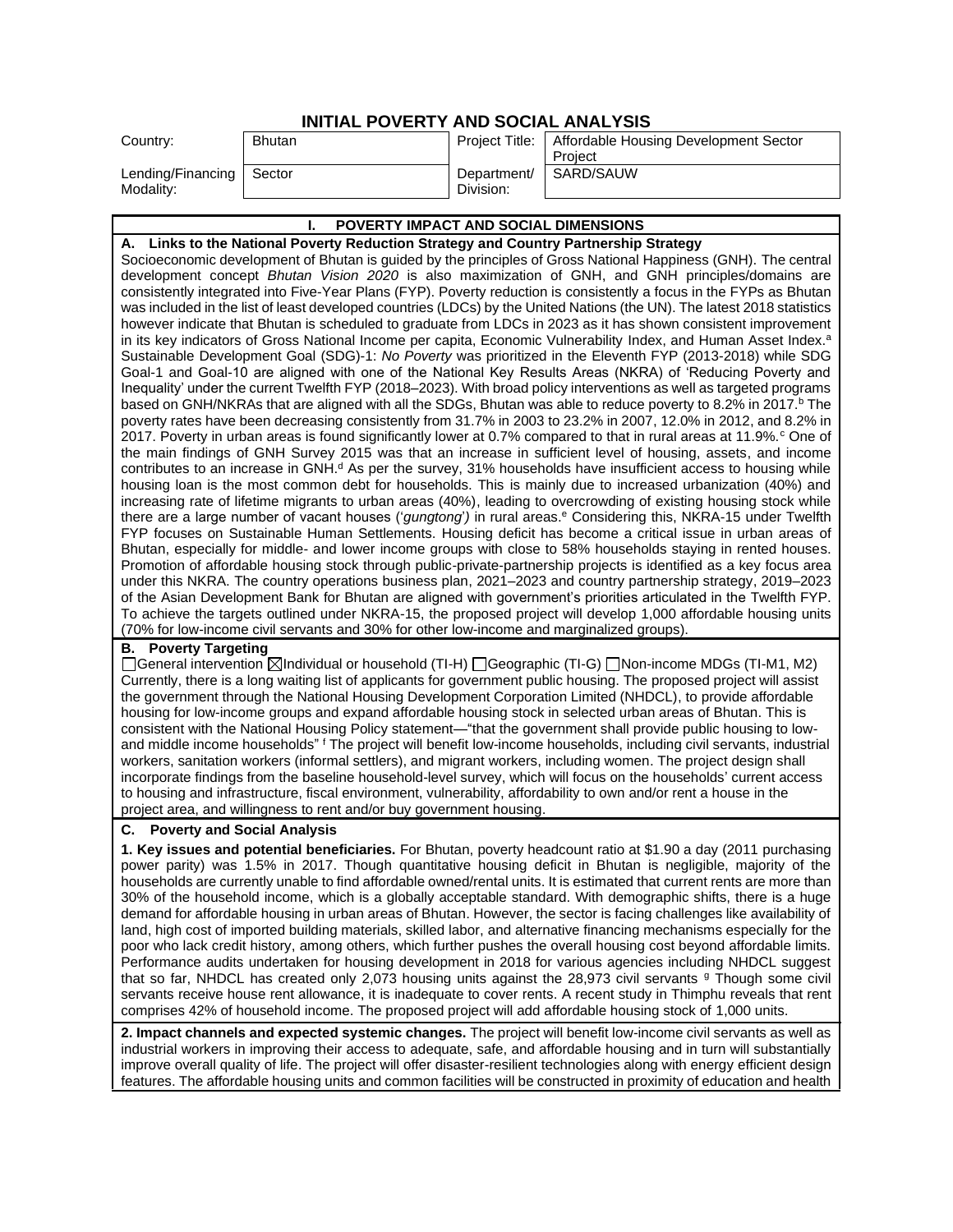|--|

| Country:                                | <b>Bhutan</b> | Project Title:           | Affordable Housing Development Sector<br>Project |
|-----------------------------------------|---------------|--------------------------|--------------------------------------------------|
| Lending/Financing   Sector<br>Modality: |               | Department/<br>Division: | SARD/SAUW                                        |

#### **I. POVERTY IMPACT AND SOCIAL DIMENSIONS**

**A. Links to the National Poverty Reduction Strategy and Country Partnership Strategy** Socioeconomic development of Bhutan is guided by the principles of Gross National Happiness (GNH). The central development concept *Bhutan Vision 2020* is also maximization of GNH, and GNH principles/domains are consistently integrated into Five-Year Plans (FYP). Poverty reduction is consistently a focus in the FYPs as Bhutan was included in the list of least developed countries (LDCs) by the United Nations (the UN). The latest 2018 statistics however indicate that Bhutan is scheduled to graduate from LDCs in 2023 as it has shown consistent improvement in its key indicators of Gross National Income per capita, Economic Vulnerability Index, and Human Asset Index.<sup>a</sup> Sustainable Development Goal (SDG)-1: *No Poverty* was prioritized in the Eleventh FYP (2013-2018) while SDG Goal-1 and Goal-10 are aligned with one of the National Key Results Areas (NKRA) of 'Reducing Poverty and Inequality' under the current Twelfth FYP (2018–2023). With broad policy interventions as well as targeted programs based on GNH/NKRAs that are aligned with all the SDGs, Bhutan was able to reduce poverty to 8.2% in 2017.<sup>b</sup> The poverty rates have been decreasing consistently from 31.7% in 2003 to 23.2% in 2007, 12.0% in 2012, and 8.2% in 2017. Poverty in urban areas is found significantly lower at 0.7% compared to that in rural areas at 11.9%. $c$  One of the main findings of GNH Survey 2015 was that an increase in sufficient level of housing, assets, and income contributes to an increase in GNH. $d$  As per the survey, 31% households have insufficient access to housing while housing loan is the most common debt for households. This is mainly due to increased urbanization (40%) and increasing rate of lifetime migrants to urban areas (40%), leading to overcrowding of existing housing stock while there are a large number of vacant houses ('*gungtong*') in rural areas.<sup>e</sup> Considering this, NKRA-15 under Twelfth FYP focuses on Sustainable Human Settlements. Housing deficit has become a critical issue in urban areas of Bhutan, especially for middle- and lower income groups with close to 58% households staying in rented houses. Promotion of affordable housing stock through public-private-partnership projects is identified as a key focus area under this NKRA. The country operations business plan, 2021–2023 and country partnership strategy, 2019–2023 of the Asian Development Bank for Bhutan are aligned with government's priorities articulated in the Twelfth FYP. To achieve the targets outlined under NKRA-15, the proposed project will develop 1,000 affordable housing units (70% for low-income civil servants and 30% for other low-income and marginalized groups).

#### **B. Poverty Targeting**

General intervention Individual or household (TI-H) Geographic (TI-G) Non-income MDGs (TI-M1, M2) Currently, there is a long waiting list of applicants for government public housing. The proposed project will assist the government through the National Housing Development Corporation Limited (NHDCL), to provide affordable housing for low-income groups and expand affordable housing stock in selected urban areas of Bhutan. This is consistent with the National Housing Policy statement—"that the government shall provide public housing to lowand middle income households" <sup>f</sup> The project will benefit low-income households, including civil servants, industrial workers, sanitation workers (informal settlers), and migrant workers, including women. The project design shall incorporate findings from the baseline household-level survey, which will focus on the households' current access to housing and infrastructure, fiscal environment, vulnerability, affordability to own and/or rent a house in the project area, and willingness to rent and/or buy government housing.

#### **C. Poverty and Social Analysis**

**1. Key issues and potential beneficiaries.** For Bhutan, poverty headcount ratio at \$1.90 a day (2011 purchasing power parity) was 1.5% in 2017. Though quantitative housing deficit in Bhutan is negligible, majority of the households are currently unable to find affordable owned/rental units. It is estimated that current rents are more than 30% of the household income, which is a globally acceptable standard. With demographic shifts, there is a huge demand for affordable housing in urban areas of Bhutan. However, the sector is facing challenges like availability of land, high cost of imported building materials, skilled labor, and alternative financing mechanisms especially for the poor who lack credit history, among others, which further pushes the overall housing cost beyond affordable limits. Performance audits undertaken for housing development in 2018 for various agencies including NHDCL suggest that so far. NHDCL has created only 2,073 housing units against the 28,973 civil servants <sup>g</sup> Though some civil servants receive house rent allowance, it is inadequate to cover rents. A recent study in Thimphu reveals that rent comprises 42% of household income. The proposed project will add affordable housing stock of 1,000 units.

**2. Impact channels and expected systemic changes.** The project will benefit low-income civil servants as well as industrial workers in improving their access to adequate, safe, and affordable housing and in turn will substantially improve overall quality of life. The project will offer disaster-resilient technologies along with energy efficient design features. The affordable housing units and common facilities will be constructed in proximity of education and health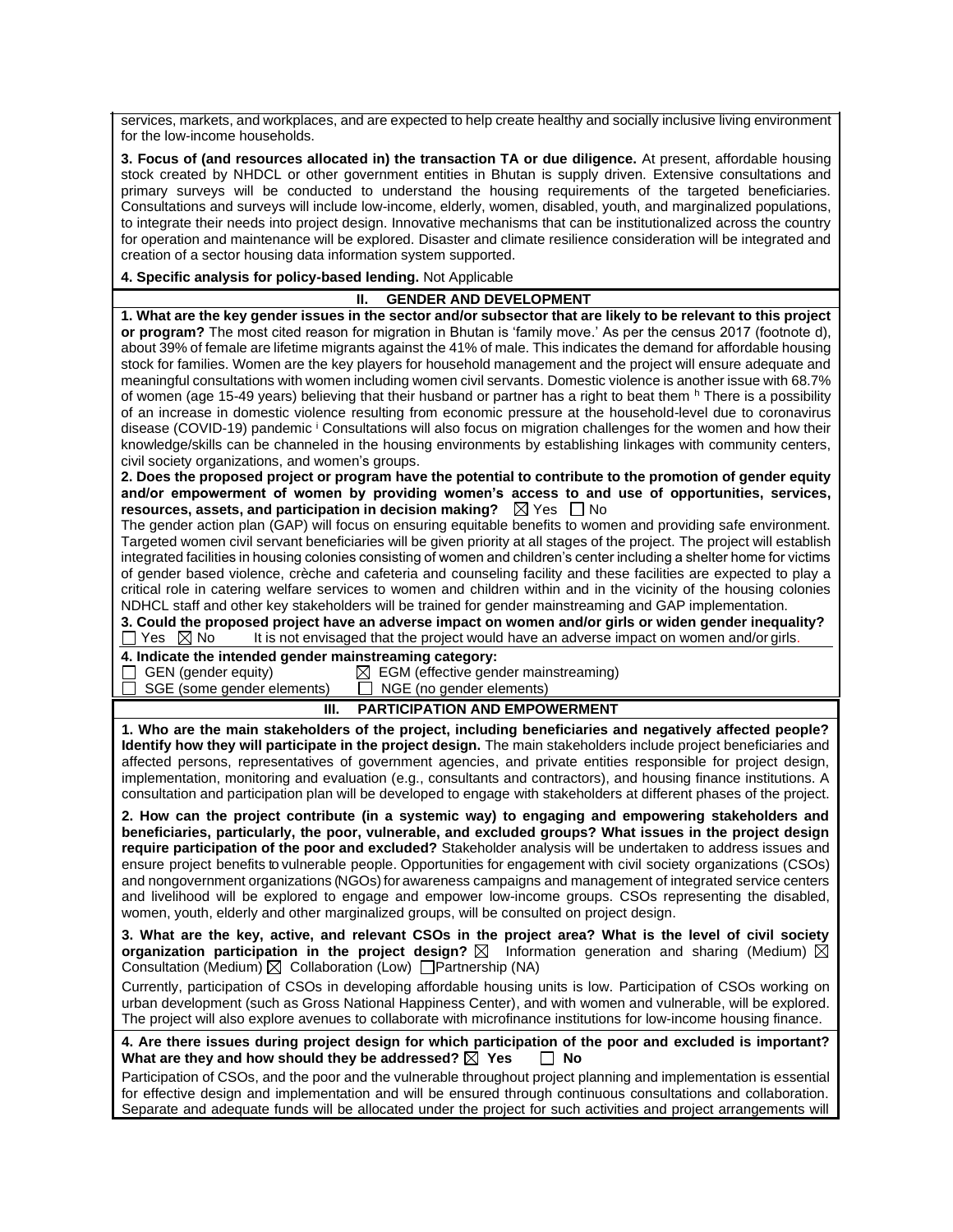services, markets, and workplaces, and are expected to help create healthy and socially inclusive living environment for the low-income households.

**3. Focus of (and resources allocated in) the transaction TA or due diligence.** At present, affordable housing stock created by NHDCL or other government entities in Bhutan is supply driven. Extensive consultations and primary surveys will be conducted to understand the housing requirements of the targeted beneficiaries. Consultations and surveys will include low-income, elderly, women, disabled, youth, and marginalized populations, to integrate their needs into project design. Innovative mechanisms that can be institutionalized across the country for operation and maintenance will be explored. Disaster and climate resilience consideration will be integrated and creation of a sector housing data information system supported.

**4. Specific analysis for policy-based lending.** Not Applicable

#### **II. GENDER AND DEVELOPMENT**

**1. What are the key gender issues in the sector and/or subsector that are likely to be relevant to this project or program?** The most cited reason for migration in Bhutan is 'family move.' As per the census 2017 (footnote d), about 39% of female are lifetime migrants against the 41% of male. This indicates the demand for affordable housing stock for families. Women are the key players for household management and the project will ensure adequate and meaningful consultations with women including women civil servants. Domestic violence is another issue with 68.7% of women (age 15-49 years) believing that their husband or partner has a right to beat them h There is a possibility of an increase in domestic violence resulting from economic pressure at the household-level due to coronavirus disease (COVID-19) pandemic <sup>i</sup> Consultations will also focus on migration challenges for the women and how their knowledge/skills can be channeled in the housing environments by establishing linkages with community centers, civil society organizations, and women's groups.

**2. Does the proposed project or program have the potential to contribute to the promotion of gender equity and/or empowerment of women by providing women's access to and use of opportunities, services, resources, assets, and participation in decision making?**  $\boxtimes$  Yes  $\Box$  No

The gender action plan (GAP) will focus on ensuring equitable benefits to women and providing safe environment. Targeted women civil servant beneficiaries will be given priority at all stages of the project. The project will establish integrated facilities in housing colonies consisting of women and children's center including a shelter home for victims of gender based violence, crèche and cafeteria and counseling facility and these facilities are expected to play a critical role in catering welfare services to women and children within and in the vicinity of the housing colonies NDHCL staff and other key stakeholders will be trained for gender mainstreaming and GAP implementation.

**3. Could the proposed project have an adverse impact on women and/or girls or widen gender inequality?**

 $\Box$  Yes  $\boxtimes$  No It is not envisaged that the project would have an adverse impact on women and/or girls.

## **4. Indicate the intended gender mainstreaming category:**

 $\Box$  GEN (gender equity)  $\Box$  EGM (effective gender mainstreaming) SGE (some gender elements)  $\Box$  NGE (no gender elements)

#### **III. PARTICIPATION AND EMPOWERMENT**

**1. Who are the main stakeholders of the project, including beneficiaries and negatively affected people? Identify how they will participate in the project design.** The main stakeholders include project beneficiaries and affected persons, representatives of government agencies, and private entities responsible for project design, implementation, monitoring and evaluation (e.g., consultants and contractors), and housing finance institutions. A consultation and participation plan will be developed to engage with stakeholders at different phases of the project.

**2. How can the project contribute (in a systemic way) to engaging and empowering stakeholders and beneficiaries, particularly, the poor, vulnerable, and excluded groups? What issues in the project design require participation of the poor and excluded?** Stakeholder analysis will be undertaken to address issues and ensure project benefits to vulnerable people. Opportunities for engagement with civil society organizations (CSOs) and nongovernment organizations (NGOs) for awareness campaigns and management of integrated service centers and livelihood will be explored to engage and empower low-income groups. CSOs representing the disabled, women, youth, elderly and other marginalized groups, will be consulted on project design.

**3. What are the key, active, and relevant CSOs in the project area? What is the level of civil society organization participation in the project design?**  $\boxtimes$  Information generation and sharing (Medium)  $\boxtimes$ Consultation (Medium)  $\boxtimes$  Collaboration (Low)  $\Box$  Partnership (NA)

Currently, participation of CSOs in developing affordable housing units is low. Participation of CSOs working on urban development (such as Gross National Happiness Center), and with women and vulnerable, will be explored. The project will also explore avenues to collaborate with microfinance institutions for low-income housing finance.

#### **4. Are there issues during project design for which participation of the poor and excluded is important?**  What are they and how should they be addressed?  $\boxtimes$  Yes  $\Box$  No

Participation of CSOs, and the poor and the vulnerable throughout project planning and implementation is essential for effective design and implementation and will be ensured through continuous consultations and collaboration. Separate and adequate funds will be allocated under the project for such activities and project arrangements will